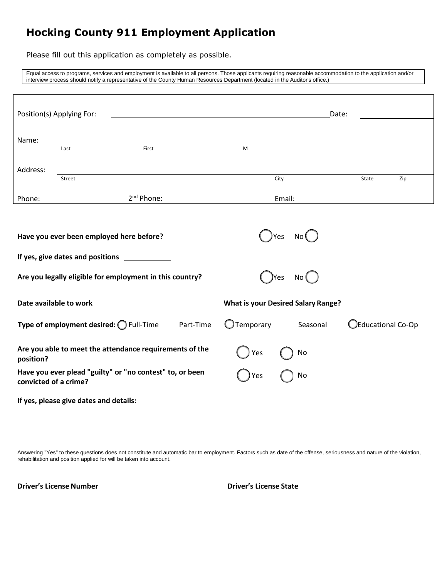# **Hocking County 911 Employment Application**

Please fill out this application as completely as possible.

Equal access to programs, services and employment is available to all persons. Those applicants requiring reasonable accommodation to the application and/or interview process should notify a representative of the County Human Resources Department (located in the Auditor's office.)

|                        | Position(s) Applying For:              |                                                          |                                           |        |          | Date: |                    |     |
|------------------------|----------------------------------------|----------------------------------------------------------|-------------------------------------------|--------|----------|-------|--------------------|-----|
| Name:                  | Last                                   | First                                                    | M                                         |        |          |       |                    |     |
| Address:               | Street                                 |                                                          |                                           | City   |          |       | State              | Zip |
| Phone:                 |                                        | $2nd$ Phone:                                             |                                           | Email: |          |       |                    |     |
|                        | If yes, give dates and positions       | Have you ever been employed here before?                 |                                           | Yes    | No (     |       |                    |     |
|                        |                                        | Are you legally eligible for employment in this country? |                                           | Yes    | No (     |       |                    |     |
| Date available to work |                                        |                                                          | <b>What is your Desired Salary Range?</b> |        |          |       |                    |     |
|                        |                                        | Type of employment desired: O Full-Time Part-Time        | $\bigcup$ Temporary                       |        | Seasonal |       | OEducational Co-Op |     |
| position?              |                                        | Are you able to meet the attendance requirements of the  | Yes                                       |        | No       |       |                    |     |
| convicted of a crime?  |                                        | Have you ever plead "guilty" or "no contest" to, or been | Yes                                       |        | No       |       |                    |     |
|                        | If yes, please give dates and details: |                                                          |                                           |        |          |       |                    |     |

Answering "Yes" to these questions does not constitute and automatic bar to employment. Factors such as date of the offense, seriousness and nature of the violation, rehabilitation and position applied for will be taken into account.

**Driver's License Number Driver's License State**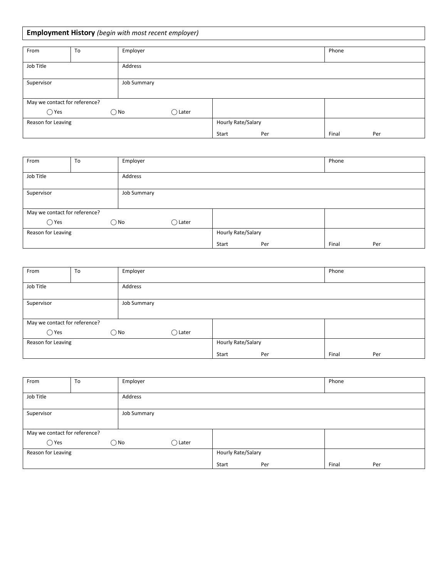## **Employment History** *(begin with most recent employer)*

| From                          | To | Employer      |                 |                    |     | Phone |     |
|-------------------------------|----|---------------|-----------------|--------------------|-----|-------|-----|
| Job Title                     |    | Address       |                 |                    |     |       |     |
| Supervisor                    |    | Job Summary   |                 |                    |     |       |     |
| May we contact for reference? |    |               |                 |                    |     |       |     |
| $\bigcirc$ Yes                |    | $\bigcirc$ No | $\bigcap$ Later |                    |     |       |     |
| Reason for Leaving            |    |               |                 | Hourly Rate/Salary |     |       |     |
|                               |    |               |                 | Start              | Per | Final | Per |

| From                          | To | Employer     |                    |       |     | Phone |     |
|-------------------------------|----|--------------|--------------------|-------|-----|-------|-----|
| Job Title<br>Address          |    |              |                    |       |     |       |     |
| Supervisor<br>Job Summary     |    |              |                    |       |     |       |     |
| May we contact for reference? |    |              |                    |       |     |       |     |
| $\bigcirc$ Yes                |    | $\bigcap$ No | $\bigcap$ Later    |       |     |       |     |
| Reason for Leaving            |    |              | Hourly Rate/Salary |       |     |       |     |
|                               |    |              |                    | Start | Per | Final | Per |

| From                          | To          | Employer           |                 |       |     | Phone |     |
|-------------------------------|-------------|--------------------|-----------------|-------|-----|-------|-----|
| Job Title                     |             | Address            |                 |       |     |       |     |
| Supervisor                    | Job Summary |                    |                 |       |     |       |     |
| May we contact for reference? |             |                    |                 |       |     |       |     |
| $\bigcirc$ Yes                |             | $\bigcirc$ No      | $\bigcap$ Later |       |     |       |     |
| Reason for Leaving            |             | Hourly Rate/Salary |                 |       |     |       |     |
|                               |             |                    |                 | Start | Per | Final | Per |

| From                                               | To | Employer           | Phone        |              |  |
|----------------------------------------------------|----|--------------------|--------------|--------------|--|
| Job Title                                          |    | Address            |              |              |  |
| Job Summary<br>Supervisor                          |    |                    |              |              |  |
| May we contact for reference?                      |    |                    |              |              |  |
| $\bigcirc$ Yes<br>$\bigcirc$ No<br>$\bigcap$ Later |    |                    |              |              |  |
| Reason for Leaving                                 |    | Hourly Rate/Salary |              |              |  |
|                                                    |    |                    | Start<br>Per | Final<br>Per |  |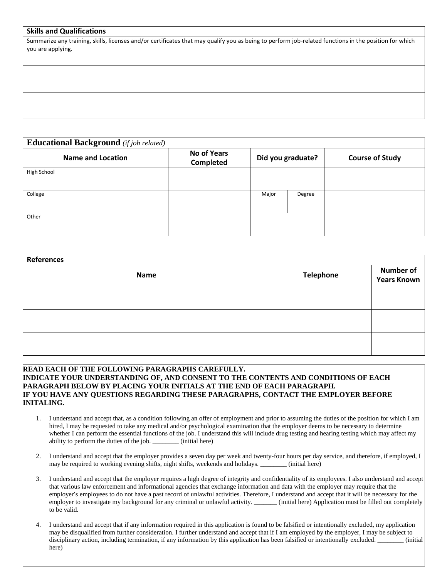#### **Skills and Qualifications**

Summarize any training, skills, licenses and/or certificates that may qualify you as being to perform job-related functions in the position for which you are applying.

**Educational Background** *(if job related)* **Name and Location No of Years Completed Did you graduate? Course of Study** High School College **Major Degree** Other

| <b>References</b> |                  |                                        |  |  |  |  |  |
|-------------------|------------------|----------------------------------------|--|--|--|--|--|
| <b>Name</b>       | <b>Telephone</b> | <b>Number of</b><br><b>Years Known</b> |  |  |  |  |  |
|                   |                  |                                        |  |  |  |  |  |
|                   |                  |                                        |  |  |  |  |  |
|                   |                  |                                        |  |  |  |  |  |
|                   |                  |                                        |  |  |  |  |  |

#### **READ EACH OF THE FOLLOWING PARAGRAPHS CAREFULLY. INDICATE YOUR UNDERSTANDING OF, AND CONSENT TO THE CONTENTS AND CONDITIONS OF EACH PARAGRAPH BELOW BY PLACING YOUR INITIALS AT THE END OF EACH PARAGRAPH. IF YOU HAVE ANY QUESTIONS REGARDING THESE PARAGRAPHS, CONTACT THE EMPLOYER BEFORE INITALING.**

- 1. I understand and accept that, as a condition following an offer of employment and prior to assuming the duties of the position for which I am hired, I may be requested to take any medical and/or psychological examination that the employer deems to be necessary to determine whether I can perform the essential functions of the job. I understand this will include drug testing and hearing testing which may affect my ability to perform the duties of the job. \_\_\_\_\_\_\_\_ (initial here)
- 2. I understand and accept that the employer provides a seven day per week and twenty-four hours per day service, and therefore, if employed, I may be required to working evening shifts, night shifts, weekends and holidays. \_\_\_\_\_\_\_\_ (initial here)
- 3. I understand and accept that the employer requires a high degree of integrity and confidentiality of its employees. I also understand and accept that various law enforcement and informational agencies that exchange information and data with the employer may require that the employer's employees to do not have a past record of unlawful activities. Therefore, I understand and accept that it will be necessary for the employer to investigate my background for any criminal or unlawful activity. \_\_\_\_\_\_\_ (initial here) Application must be filled out completely to be valid.
- 4. I understand and accept that if any information required in this application is found to be falsified or intentionally excluded, my application may be disqualified from further consideration. I further understand and accept that if I am employed by the employer, I may be subject to disciplinary action, including termination, if any information by this application has been falsified or intentionally excluded.  $(i$ nitial here)